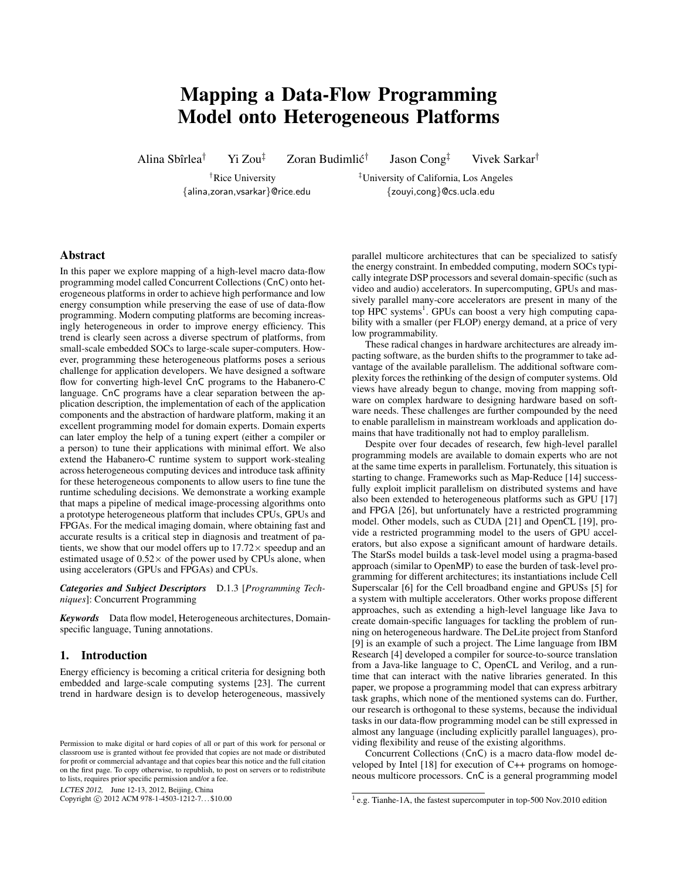# Mapping a Data-Flow Programming Model onto Heterogeneous Platforms

Alina Sbîrlea<sup>†</sup> Yi Zou<sup>‡</sup> Zoran Budimlić<sup>†</sup>

Jason Cong‡ Vivek Sarkar†

†Rice University ‡University of California, Los Angeles {alina,zoran,vsarkar}@rice.edu {zouyi,cong}@cs.ucla.edu

# Abstract

In this paper we explore mapping of a high-level macro data-flow programming model called Concurrent Collections (CnC) onto heterogeneous platforms in order to achieve high performance and low energy consumption while preserving the ease of use of data-flow programming. Modern computing platforms are becoming increasingly heterogeneous in order to improve energy efficiency. This trend is clearly seen across a diverse spectrum of platforms, from small-scale embedded SOCs to large-scale super-computers. However, programming these heterogeneous platforms poses a serious challenge for application developers. We have designed a software flow for converting high-level CnC programs to the Habanero-C language. CnC programs have a clear separation between the application description, the implementation of each of the application components and the abstraction of hardware platform, making it an excellent programming model for domain experts. Domain experts can later employ the help of a tuning expert (either a compiler or a person) to tune their applications with minimal effort. We also extend the Habanero-C runtime system to support work-stealing across heterogeneous computing devices and introduce task affinity for these heterogeneous components to allow users to fine tune the runtime scheduling decisions. We demonstrate a working example that maps a pipeline of medical image-processing algorithms onto a prototype heterogeneous platform that includes CPUs, GPUs and FPGAs. For the medical imaging domain, where obtaining fast and accurate results is a critical step in diagnosis and treatment of patients, we show that our model offers up to  $17.72 \times$  speedup and an estimated usage of  $0.52 \times$  of the power used by CPUs alone, when using accelerators (GPUs and FPGAs) and CPUs.

*Categories and Subject Descriptors* D.1.3 [*Programming Techniques*]: Concurrent Programming

*Keywords* Data flow model, Heterogeneous architectures, Domainspecific language, Tuning annotations.

# 1. Introduction

Energy efficiency is becoming a critical criteria for designing both embedded and large-scale computing systems [23]. The current trend in hardware design is to develop heterogeneous, massively

LCTES 2012, June 12-13, 2012, Beijing, China

Copyright © 2012 ACM 978-1-4503-1212-7... \$10.00

parallel multicore architectures that can be specialized to satisfy the energy constraint. In embedded computing, modern SOCs typically integrate DSP processors and several domain-specific (such as video and audio) accelerators. In supercomputing, GPUs and massively parallel many-core accelerators are present in many of the top HPC systems<sup>1</sup>. GPUs can boost a very high computing capability with a smaller (per FLOP) energy demand, at a price of very low programmability.

These radical changes in hardware architectures are already impacting software, as the burden shifts to the programmer to take advantage of the available parallelism. The additional software complexity forces the rethinking of the design of computer systems. Old views have already begun to change, moving from mapping software on complex hardware to designing hardware based on software needs. These challenges are further compounded by the need to enable parallelism in mainstream workloads and application domains that have traditionally not had to employ parallelism.

Despite over four decades of research, few high-level parallel programming models are available to domain experts who are not at the same time experts in parallelism. Fortunately, this situation is starting to change. Frameworks such as Map-Reduce [14] successfully exploit implicit parallelism on distributed systems and have also been extended to heterogeneous platforms such as GPU [17] and FPGA [26], but unfortunately have a restricted programming model. Other models, such as CUDA [21] and OpenCL [19], provide a restricted programming model to the users of GPU accelerators, but also expose a significant amount of hardware details. The StarSs model builds a task-level model using a pragma-based approach (similar to OpenMP) to ease the burden of task-level programming for different architectures; its instantiations include Cell Superscalar [6] for the Cell broadband engine and GPUSs [5] for a system with multiple accelerators. Other works propose different approaches, such as extending a high-level language like Java to create domain-specific languages for tackling the problem of running on heterogeneous hardware. The DeLite project from Stanford [9] is an example of such a project. The Lime language from IBM Research [4] developed a compiler for source-to-source translation from a Java-like language to C, OpenCL and Verilog, and a runtime that can interact with the native libraries generated. In this paper, we propose a programming model that can express arbitrary task graphs, which none of the mentioned systems can do. Further, our research is orthogonal to these systems, because the individual tasks in our data-flow programming model can be still expressed in almost any language (including explicitly parallel languages), providing flexibility and reuse of the existing algorithms.

Concurrent Collections (CnC) is a macro data-flow model developed by Intel [18] for execution of C++ programs on homogeneous multicore processors. CnC is a general programming model

Permission to make digital or hard copies of all or part of this work for personal or classroom use is granted without fee provided that copies are not made or distributed for profit or commercial advantage and that copies bear this notice and the full citation on the first page. To copy otherwise, to republish, to post on servers or to redistribute to lists, requires prior specific permission and/or a fee.

<sup>&</sup>lt;sup>1</sup> e.g. Tianhe-1A, the fastest supercomputer in top-500 Nov.2010 edition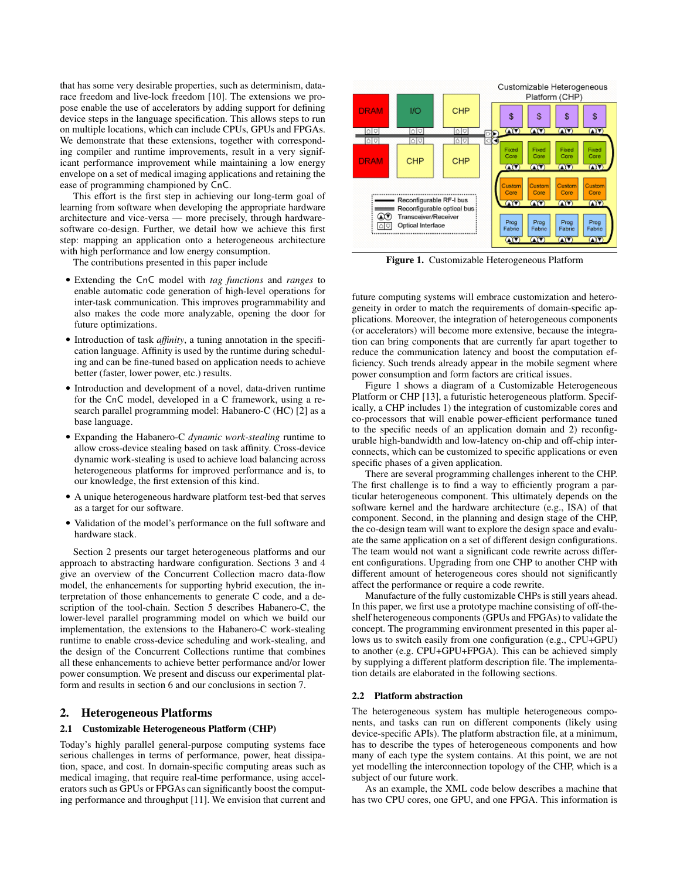that has some very desirable properties, such as determinism, datarace freedom and live-lock freedom [10]. The extensions we propose enable the use of accelerators by adding support for defining device steps in the language specification. This allows steps to run on multiple locations, which can include CPUs, GPUs and FPGAs. We demonstrate that these extensions, together with corresponding compiler and runtime improvements, result in a very significant performance improvement while maintaining a low energy envelope on a set of medical imaging applications and retaining the ease of programming championed by CnC.

This effort is the first step in achieving our long-term goal of learning from software when developing the appropriate hardware architecture and vice-versa — more precisely, through hardwaresoftware co-design. Further, we detail how we achieve this first step: mapping an application onto a heterogeneous architecture with high performance and low energy consumption.

The contributions presented in this paper include

- Extending the CnC model with *tag functions* and *ranges* to enable automatic code generation of high-level operations for inter-task communication. This improves programmability and also makes the code more analyzable, opening the door for future optimizations.
- Introduction of task *affinity*, a tuning annotation in the specification language. Affinity is used by the runtime during scheduling and can be fine-tuned based on application needs to achieve better (faster, lower power, etc.) results.
- Introduction and development of a novel, data-driven runtime for the CnC model, developed in a C framework, using a research parallel programming model: Habanero-C (HC) [2] as a base language.
- Expanding the Habanero-C *dynamic work-stealing* runtime to allow cross-device stealing based on task affinity. Cross-device dynamic work-stealing is used to achieve load balancing across heterogeneous platforms for improved performance and is, to our knowledge, the first extension of this kind.
- A unique heterogeneous hardware platform test-bed that serves as a target for our software.
- Validation of the model's performance on the full software and hardware stack.

Section 2 presents our target heterogeneous platforms and our approach to abstracting hardware configuration. Sections 3 and 4 give an overview of the Concurrent Collection macro data-flow model, the enhancements for supporting hybrid execution, the interpretation of those enhancements to generate C code, and a description of the tool-chain. Section 5 describes Habanero-C, the lower-level parallel programming model on which we build our implementation, the extensions to the Habanero-C work-stealing runtime to enable cross-device scheduling and work-stealing, and the design of the Concurrent Collections runtime that combines all these enhancements to achieve better performance and/or lower power consumption. We present and discuss our experimental platform and results in section 6 and our conclusions in section 7.

# 2. Heterogeneous Platforms

#### 2.1 Customizable Heterogeneous Platform (CHP)

Today's highly parallel general-purpose computing systems face serious challenges in terms of performance, power, heat dissipation, space, and cost. In domain-specific computing areas such as medical imaging, that require real-time performance, using accelerators such as GPUs or FPGAs can significantly boost the computing performance and throughput [11]. We envision that current and



Figure 1. Customizable Heterogeneous Platform

future computing systems will embrace customization and heterogeneity in order to match the requirements of domain-specific applications. Moreover, the integration of heterogeneous components (or accelerators) will become more extensive, because the integration can bring components that are currently far apart together to reduce the communication latency and boost the computation efficiency. Such trends already appear in the mobile segment where power consumption and form factors are critical issues.

Figure 1 shows a diagram of a Customizable Heterogeneous Platform or CHP [13], a futuristic heterogeneous platform. Specifically, a CHP includes 1) the integration of customizable cores and co-processors that will enable power-efficient performance tuned to the specific needs of an application domain and 2) reconfigurable high-bandwidth and low-latency on-chip and off-chip interconnects, which can be customized to specific applications or even specific phases of a given application.

There are several programming challenges inherent to the CHP. The first challenge is to find a way to efficiently program a particular heterogeneous component. This ultimately depends on the software kernel and the hardware architecture (e.g., ISA) of that component. Second, in the planning and design stage of the CHP, the co-design team will want to explore the design space and evaluate the same application on a set of different design configurations. The team would not want a significant code rewrite across different configurations. Upgrading from one CHP to another CHP with different amount of heterogeneous cores should not significantly affect the performance or require a code rewrite.

Manufacture of the fully customizable CHPs is still years ahead. In this paper, we first use a prototype machine consisting of off-theshelf heterogeneous components (GPUs and FPGAs) to validate the concept. The programming environment presented in this paper allows us to switch easily from one configuration (e.g., CPU+GPU) to another (e.g. CPU+GPU+FPGA). This can be achieved simply by supplying a different platform description file. The implementation details are elaborated in the following sections.

#### 2.2 Platform abstraction

The heterogeneous system has multiple heterogeneous components, and tasks can run on different components (likely using device-specific APIs). The platform abstraction file, at a minimum, has to describe the types of heterogeneous components and how many of each type the system contains. At this point, we are not yet modelling the interconnection topology of the CHP, which is a subject of our future work.

As an example, the XML code below describes a machine that has two CPU cores, one GPU, and one FPGA. This information is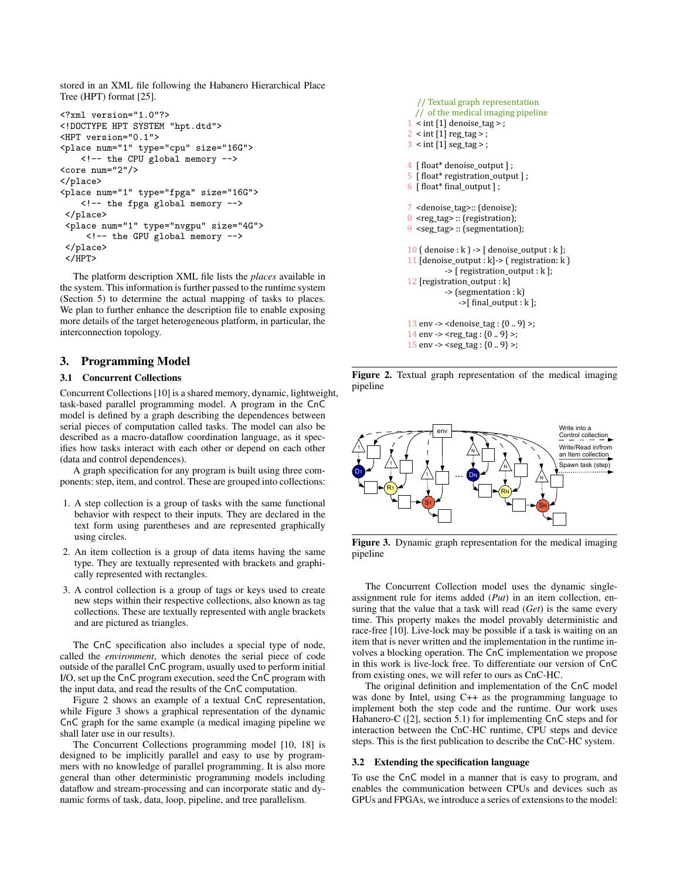stored in an XML file following the Habanero Hierarchical Place Tree (HPT) format [25].

```
<?xml version="1.0"?>
<!DOCTYPE HPT SYSTEM "hpt.dtd">
<HPT version="0.1">
<place num="1" type="cpu" size="16G">
   <!-- the CPU global memory -->
<core num="2"/>
</place>
<place num="1" type="fpga" size="16G">
   <!-- the fpga global memory -->
</place>
 <place num="1" type="nvgpu" size="4G">
     <!-- the GPU global memory -->
</place>
</HPT>
```
The platform description XML file lists the *places* available in the system. This information is further passed to the runtime system (Section 5) to determine the actual mapping of tasks to places. We plan to further enhance the description file to enable exposing more details of the target heterogeneous platform, in particular, the interconnection topology.

## 3. Programming Model

## 3.1 Concurrent Collections

Concurrent Collections [10] is a shared memory, dynamic, lightweight, task-based parallel programming model. A program in the CnC model is defined by a graph describing the dependences between serial pieces of computation called tasks. The model can also be described as a macro-dataflow coordination language, as it specifies how tasks interact with each other or depend on each other (data and control dependences).

A graph specification for any program is built using three components: step, item, and control. These are grouped into collections:

- 1. A step collection is a group of tasks with the same functional behavior with respect to their inputs. They are declared in the text form using parentheses and are represented graphically using circles.
- 2. An item collection is a group of data items having the same type. They are textually represented with brackets and graphically represented with rectangles.
- 3. A control collection is a group of tags or keys used to create new steps within their respective collections, also known as tag collections. These are textually represented with angle brackets and are pictured as triangles.

The CnC specification also includes a special type of node, called the *environment*, which denotes the serial piece of code outside of the parallel CnC program, usually used to perform initial I/O, set up the CnC program execution, seed the CnC program with the input data, and read the results of the CnC computation.

Figure 2 shows an example of a textual CnC representation, while Figure 3 shows a graphical representation of the dynamic CnC graph for the same example (a medical imaging pipeline we shall later use in our results).

The Concurrent Collections programming model [10, 18] is designed to be implicitly parallel and easy to use by programmers with no knowledge of parallel programming. It is also more general than other deterministic programming models including dataflow and stream-processing and can incorporate static and dynamic forms of task, data, loop, pipeline, and tree parallelism.

```
 // Textual graph representation 
   // of the medical imaging pipeline
1 < int [1] denoise_tag > ;
2 < int [1] reg_tag >;
3 < int [1] seg_tag > ;
4 [ float* denoise_output ] ;
5 [ float* registration_output ] ;
6 [ float* final_output ] ;
7 <denoise_tag>:: (denoise);
8 <reg_tag> :: (registration);
9 <seg_tag> :: (segmentation);
10 ( denoise : k ) -> [ denoise_output : k ];
11 [denoise_output : k] -> ( registration: k )
           -> [ registration_output : k ];
12 [registration_output : k] 
           -> (segmentation : k)
               ->[ final_output : k ];
13 env -> <denoise_tag : \{0..9\} >;
14 env -> <reg tag : {0.. 9} >;
15 env -> <seg_tag : \{0..9\} >;
```
Figure 2. Textual graph representation of the medical imaging pipeline



Figure 3. Dynamic graph representation for the medical imaging pipeline

The Concurrent Collection model uses the dynamic singleassignment rule for items added (*Put*) in an item collection, ensuring that the value that a task will read (*Get*) is the same every time. This property makes the model provably deterministic and race-free [10]. Live-lock may be possible if a task is waiting on an item that is never written and the implementation in the runtime involves a blocking operation. The CnC implementation we propose in this work is live-lock free. To differentiate our version of CnC from existing ones, we will refer to ours as CnC-HC.

The original definition and implementation of the CnC model was done by Intel, using C++ as the programming language to implement both the step code and the runtime. Our work uses Habanero-C ([2], section 5.1) for implementing CnC steps and for interaction between the CnC-HC runtime, CPU steps and device steps. This is the first publication to describe the CnC-HC system.

#### 3.2 Extending the specification language

To use the CnC model in a manner that is easy to program, and enables the communication between CPUs and devices such as GPUs and FPGAs, we introduce a series of extensions to the model: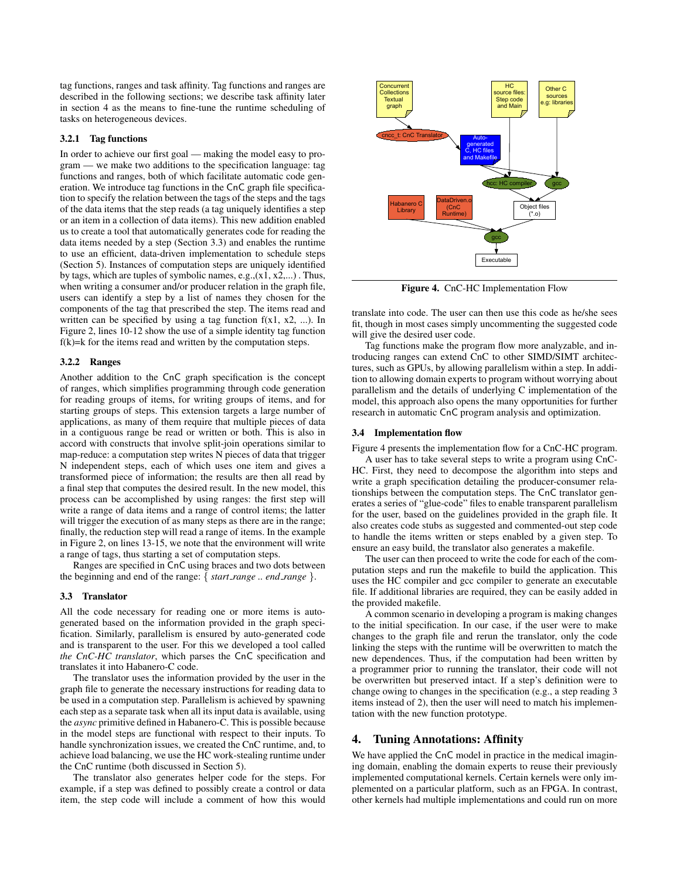tag functions, ranges and task affinity. Tag functions and ranges are described in the following sections; we describe task affinity later in section 4 as the means to fine-tune the runtime scheduling of tasks on heterogeneous devices.

#### 3.2.1 Tag functions

In order to achieve our first goal — making the model easy to program — we make two additions to the specification language: tag functions and ranges, both of which facilitate automatic code generation. We introduce tag functions in the CnC graph file specification to specify the relation between the tags of the steps and the tags of the data items that the step reads (a tag uniquely identifies a step or an item in a collection of data items). This new addition enabled us to create a tool that automatically generates code for reading the data items needed by a step (Section 3.3) and enables the runtime to use an efficient, data-driven implementation to schedule steps (Section 5). Instances of computation steps are uniquely identified by tags, which are tuples of symbolic names, e.g.,(x1, x2,...) . Thus, when writing a consumer and/or producer relation in the graph file, users can identify a step by a list of names they chosen for the components of the tag that prescribed the step. The items read and written can be specified by using a tag function  $f(x1, x2, ...)$ . In Figure 2, lines 10-12 show the use of a simple identity tag function  $f(k)=k$  for the items read and written by the computation steps.

## 3.2.2 Ranges

Another addition to the CnC graph specification is the concept of ranges, which simplifies programming through code generation for reading groups of items, for writing groups of items, and for starting groups of steps. This extension targets a large number of applications, as many of them require that multiple pieces of data in a contiguous range be read or written or both. This is also in accord with constructs that involve split-join operations similar to map-reduce: a computation step writes N pieces of data that trigger N independent steps, each of which uses one item and gives a transformed piece of information; the results are then all read by a final step that computes the desired result. In the new model, this process can be accomplished by using ranges: the first step will write a range of data items and a range of control items; the latter will trigger the execution of as many steps as there are in the range; finally, the reduction step will read a range of items. In the example in Figure 2, on lines 13-15, we note that the environment will write a range of tags, thus starting a set of computation steps.

Ranges are specified in CnC using braces and two dots between the beginning and end of the range: { *start range .. end range* }.

#### 3.3 Translator

All the code necessary for reading one or more items is autogenerated based on the information provided in the graph specification. Similarly, parallelism is ensured by auto-generated code and is transparent to the user. For this we developed a tool called *the CnC-HC translator*, which parses the CnC specification and translates it into Habanero-C code.

The translator uses the information provided by the user in the graph file to generate the necessary instructions for reading data to be used in a computation step. Parallelism is achieved by spawning each step as a separate task when all its input data is available, using the *async* primitive defined in Habanero-C. This is possible because in the model steps are functional with respect to their inputs. To handle synchronization issues, we created the CnC runtime, and, to achieve load balancing, we use the HC work-stealing runtime under the CnC runtime (both discussed in Section 5).

The translator also generates helper code for the steps. For example, if a step was defined to possibly create a control or data item, the step code will include a comment of how this would



Figure 4. CnC-HC Implementation Flow

translate into code. The user can then use this code as he/she sees fit, though in most cases simply uncommenting the suggested code will give the desired user code.

Tag functions make the program flow more analyzable, and introducing ranges can extend CnC to other SIMD/SIMT architectures, such as GPUs, by allowing parallelism within a step. In addition to allowing domain experts to program without worrying about parallelism and the details of underlying C implementation of the model, this approach also opens the many opportunities for further research in automatic CnC program analysis and optimization.

#### 3.4 Implementation flow

Figure 4 presents the implementation flow for a CnC-HC program.

A user has to take several steps to write a program using CnC-HC. First, they need to decompose the algorithm into steps and write a graph specification detailing the producer-consumer relationships between the computation steps. The CnC translator generates a series of "glue-code" files to enable transparent parallelism for the user, based on the guidelines provided in the graph file. It also creates code stubs as suggested and commented-out step code to handle the items written or steps enabled by a given step. To ensure an easy build, the translator also generates a makefile.

The user can then proceed to write the code for each of the computation steps and run the makefile to build the application. This uses the HC compiler and gcc compiler to generate an executable file. If additional libraries are required, they can be easily added in the provided makefile.

A common scenario in developing a program is making changes to the initial specification. In our case, if the user were to make changes to the graph file and rerun the translator, only the code linking the steps with the runtime will be overwritten to match the new dependences. Thus, if the computation had been written by a programmer prior to running the translator, their code will not be overwritten but preserved intact. If a step's definition were to change owing to changes in the specification (e.g., a step reading 3 items instead of 2), then the user will need to match his implementation with the new function prototype.

## 4. Tuning Annotations: Affinity

We have applied the CnC model in practice in the medical imagining domain, enabling the domain experts to reuse their previously implemented computational kernels. Certain kernels were only implemented on a particular platform, such as an FPGA. In contrast, other kernels had multiple implementations and could run on more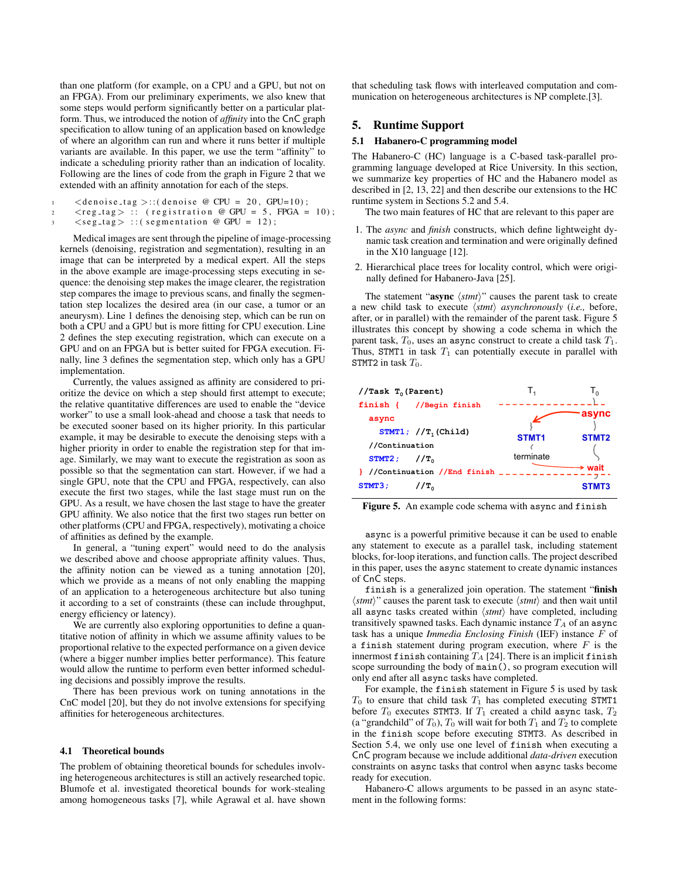than one platform (for example, on a CPU and a GPU, but not on an FPGA). From our preliminary experiments, we also knew that some steps would perform significantly better on a particular platform. Thus, we introduced the notion of *affinity* into the CnC graph specification to allow tuning of an application based on knowledge of where an algorithm can run and where it runs better if multiple variants are available. In this paper, we use the term "affinity" to indicate a scheduling priority rather than an indication of locality. Following are the lines of code from the graph in Figure 2 that we extended with an affinity annotation for each of the steps.

```
\langle denoise_tag \rangle:: ( denoise @ CPU = 20, GPU=10);
```
 $\langle \text{reg\_tag} \rangle$ : (registration @ GPU = 5, FPGA = 10);  $\langle \text{seg\_tag} \rangle$  :: ( segmentation @ GPU = 12);

Medical images are sent through the pipeline of image-processing kernels (denoising, registration and segmentation), resulting in an image that can be interpreted by a medical expert. All the steps in the above example are image-processing steps executing in sequence: the denoising step makes the image clearer, the registration step compares the image to previous scans, and finally the segmentation step localizes the desired area (in our case, a tumor or an aneurysm). Line 1 defines the denoising step, which can be run on both a CPU and a GPU but is more fitting for CPU execution. Line 2 defines the step executing registration, which can execute on a GPU and on an FPGA but is better suited for FPGA execution. Finally, line 3 defines the segmentation step, which only has a GPU implementation.

Currently, the values assigned as affinity are considered to prioritize the device on which a step should first attempt to execute; the relative quantitative differences are used to enable the "device worker" to use a small look-ahead and choose a task that needs to be executed sooner based on its higher priority. In this particular example, it may be desirable to execute the denoising steps with a higher priority in order to enable the registration step for that image. Similarly, we may want to execute the registration as soon as possible so that the segmentation can start. However, if we had a single GPU, note that the CPU and FPGA, respectively, can also execute the first two stages, while the last stage must run on the GPU. As a result, we have chosen the last stage to have the greater GPU affinity. We also notice that the first two stages run better on other platforms (CPU and FPGA, respectively), motivating a choice of affinities as defined by the example.

In general, a "tuning expert" would need to do the analysis we described above and choose appropriate affinity values. Thus, the affinity notion can be viewed as a tuning annotation [20], which we provide as a means of not only enabling the mapping of an application to a heterogeneous architecture but also tuning it according to a set of constraints (these can include throughput, energy efficiency or latency).

We are currently also exploring opportunities to define a quantitative notion of affinity in which we assume affinity values to be proportional relative to the expected performance on a given device (where a bigger number implies better performance). This feature would allow the runtime to perform even better informed scheduling decisions and possibly improve the results.

There has been previous work on tuning annotations in the CnC model [20], but they do not involve extensions for specifying affinities for heterogeneous architectures.

#### 4.1 Theoretical bounds

The problem of obtaining theoretical bounds for schedules involving heterogeneous architectures is still an actively researched topic. Blumofe et al. investigated theoretical bounds for work-stealing among homogeneous tasks [7], while Agrawal et al. have shown that scheduling task flows with interleaved computation and communication on heterogeneous architectures is NP complete.[3].

## 5. Runtime Support

### 5.1 Habanero-C programming model

The Habanero-C (HC) language is a C-based task-parallel programming language developed at Rice University. In this section, we summarize key properties of HC and the Habanero model as described in [2, 13, 22] and then describe our extensions to the HC runtime system in Sections 5.2 and 5.4.

The two main features of HC that are relevant to this paper are

- 1. The *async* and *finish* constructs, which define lightweight dynamic task creation and termination and were originally defined in the X10 language [12].
- 2. Hierarchical place trees for locality control, which were originally defined for Habanero-Java [25].

The statement " $async \langle \textit{stmt}\rangle$ " causes the parent task to create a new child task to execute  $\langle$ *stmt* $\rangle$  *asynchronously* (*i.e.*, before, after, or in parallel) with the remainder of the parent task. Figure 5 illustrates this concept by showing a code schema in which the parent task,  $T_0$ , uses an async construct to create a child task  $T_1$ . Thus, STMT1 in task  $T_1$  can potentially execute in parallel with STMT2 in task  $T_0$ .



Figure 5. An example code schema with async and finish

async is a powerful primitive because it can be used to enable any statement to execute as a parallel task, including statement blocks, for-loop iterations, and function calls. The project described in this paper, uses the async statement to create dynamic instances of CnC steps.

finish is a generalized join operation. The statement "finish  $\langle$ *stmt* $\rangle$ " causes the parent task to execute  $\langle$ *stmt* $\rangle$  and then wait until all async tasks created within  $\langle$ *stmt* $\rangle$  have completed, including transitively spawned tasks. Each dynamic instance  $T_A$  of an async task has a unique *Immedia Enclosing Finish* (IEF) instance F of a finish statement during program execution, where  $F$  is the innermost finish containing  $T_A$  [24]. There is an implicit finish scope surrounding the body of main(), so program execution will only end after all async tasks have completed.

For example, the finish statement in Figure 5 is used by task  $T_0$  to ensure that child task  $T_1$  has completed executing STMT1 before  $T_0$  executes STMT3. If  $T_1$  created a child async task,  $T_2$ (a "grandchild" of  $T_0$ ),  $T_0$  will wait for both  $T_1$  and  $T_2$  to complete in the finish scope before executing STMT3. As described in Section 5.4, we only use one level of finish when executing a CnC program because we include additional *data-driven* execution constraints on async tasks that control when async tasks become ready for execution.

Habanero-C allows arguments to be passed in an async statement in the following forms: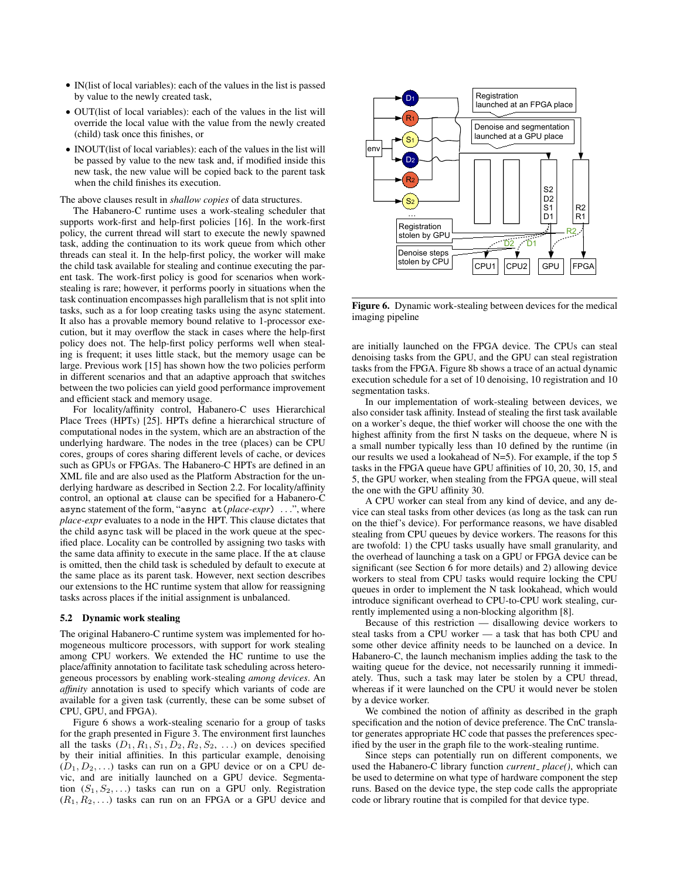- IN(list of local variables): each of the values in the list is passed by value to the newly created task,
- OUT(list of local variables): each of the values in the list will override the local value with the value from the newly created (child) task once this finishes, or
- INOUT (list of local variables): each of the values in the list will be passed by value to the new task and, if modified inside this new task, the new value will be copied back to the parent task when the child finishes its execution.

The above clauses result in *shallow copies* of data structures.

The Habanero-C runtime uses a work-stealing scheduler that supports work-first and help-first policies [16]. In the work-first policy, the current thread will start to execute the newly spawned task, adding the continuation to its work queue from which other threads can steal it. In the help-first policy, the worker will make the child task available for stealing and continue executing the parent task. The work-first policy is good for scenarios when workstealing is rare; however, it performs poorly in situations when the task continuation encompasses high parallelism that is not split into tasks, such as a for loop creating tasks using the async statement. It also has a provable memory bound relative to 1-processor execution, but it may overflow the stack in cases where the help-first policy does not. The help-first policy performs well when stealing is frequent; it uses little stack, but the memory usage can be large. Previous work [15] has shown how the two policies perform in different scenarios and that an adaptive approach that switches between the two policies can yield good performance improvement and efficient stack and memory usage.

For locality/affinity control, Habanero-C uses Hierarchical Place Trees (HPTs) [25]. HPTs define a hierarchical structure of computational nodes in the system, which are an abstraction of the underlying hardware. The nodes in the tree (places) can be CPU cores, groups of cores sharing different levels of cache, or devices such as GPUs or FPGAs. The Habanero-C HPTs are defined in an XML file and are also used as the Platform Abstraction for the underlying hardware as described in Section 2.2. For locality/affinity control, an optional at clause can be specified for a Habanero-C async statement of the form, "async at(*place-expr*) . . .", where *place-expr* evaluates to a node in the HPT. This clause dictates that the child async task will be placed in the work queue at the specified place. Locality can be controlled by assigning two tasks with the same data affinity to execute in the same place. If the at clause is omitted, then the child task is scheduled by default to execute at the same place as its parent task. However, next section describes our extensions to the HC runtime system that allow for reassigning tasks across places if the initial assignment is unbalanced.

#### 5.2 Dynamic work stealing

The original Habanero-C runtime system was implemented for homogeneous multicore processors, with support for work stealing among CPU workers. We extended the HC runtime to use the place/affinity annotation to facilitate task scheduling across heterogeneous processors by enabling work-stealing *among devices*. An *affinity* annotation is used to specify which variants of code are available for a given task (currently, these can be some subset of CPU, GPU, and FPGA).

Figure 6 shows a work-stealing scenario for a group of tasks for the graph presented in Figure 3. The environment first launches all the tasks  $(D_1, R_1, S_1, D_2, R_2, S_2, ...)$  on devices specified by their initial affinities. In this particular example, denoising  $(D_1, D_2, \ldots)$  tasks can run on a GPU device or on a CPU devic, and are initially launched on a GPU device. Segmentation  $(S_1, S_2, ...)$  tasks can run on a GPU only. Registration  $(R_1, R_2, \ldots)$  tasks can run on an FPGA or a GPU device and



Figure 6. Dynamic work-stealing between devices for the medical imaging pipeline

are initially launched on the FPGA device. The CPUs can steal denoising tasks from the GPU, and the GPU can steal registration tasks from the FPGA. Figure 8b shows a trace of an actual dynamic execution schedule for a set of 10 denoising, 10 registration and 10 segmentation tasks.

In our implementation of work-stealing between devices, we also consider task affinity. Instead of stealing the first task available on a worker's deque, the thief worker will choose the one with the highest affinity from the first N tasks on the dequeue, where N is a small number typically less than 10 defined by the runtime (in our results we used a lookahead of  $N=5$ ). For example, if the top 5 tasks in the FPGA queue have GPU affinities of 10, 20, 30, 15, and 5, the GPU worker, when stealing from the FPGA queue, will steal the one with the GPU affinity 30.

A CPU worker can steal from any kind of device, and any device can steal tasks from other devices (as long as the task can run on the thief's device). For performance reasons, we have disabled stealing from CPU queues by device workers. The reasons for this are twofold: 1) the CPU tasks usually have small granularity, and the overhead of launching a task on a GPU or FPGA device can be significant (see Section 6 for more details) and 2) allowing device workers to steal from CPU tasks would require locking the CPU queues in order to implement the N task lookahead, which would introduce significant overhead to CPU-to-CPU work stealing, currently implemented using a non-blocking algorithm [8].

Because of this restriction — disallowing device workers to steal tasks from a CPU worker — a task that has both CPU and some other device affinity needs to be launched on a device. In Habanero-C, the launch mechanism implies adding the task to the waiting queue for the device, not necessarily running it immediately. Thus, such a task may later be stolen by a CPU thread, whereas if it were launched on the CPU it would never be stolen by a device worker.

We combined the notion of affinity as described in the graph specification and the notion of device preference. The CnC translator generates appropriate HC code that passes the preferences specified by the user in the graph file to the work-stealing runtime.

Since steps can potentially run on different components, we used the Habanero-C library function *current*<sub>-</sub> place(), which can be used to determine on what type of hardware component the step runs. Based on the device type, the step code calls the appropriate code or library routine that is compiled for that device type.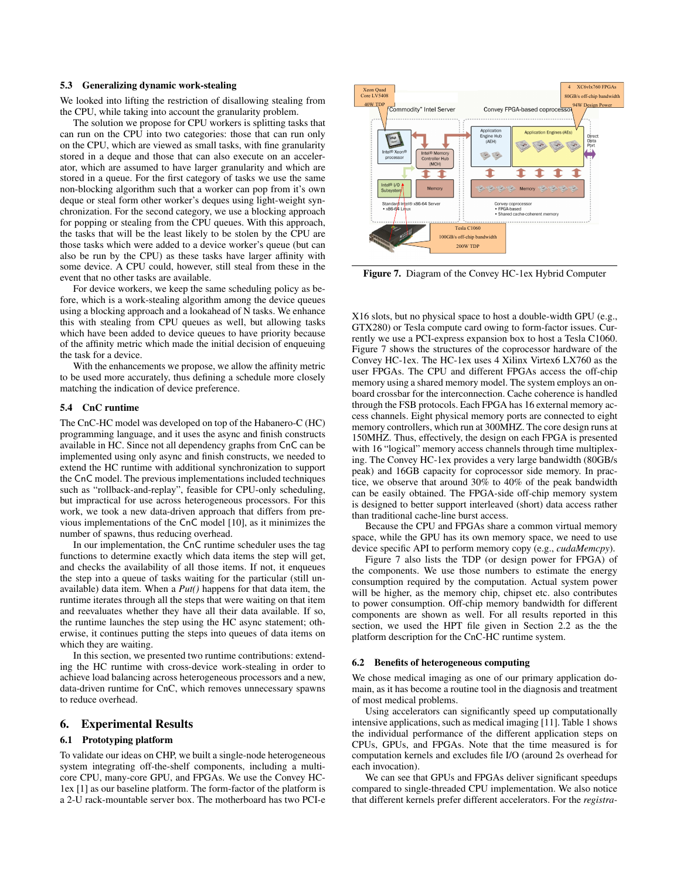#### 5.3 Generalizing dynamic work-stealing

We looked into lifting the restriction of disallowing stealing from the CPU, while taking into account the granularity problem.

The solution we propose for CPU workers is splitting tasks that can run on the CPU into two categories: those that can run only on the CPU, which are viewed as small tasks, with fine granularity stored in a deque and those that can also execute on an accelerator, which are assumed to have larger granularity and which are stored in a queue. For the first category of tasks we use the same non-blocking algorithm such that a worker can pop from it's own deque or steal form other worker's deques using light-weight synchronization. For the second category, we use a blocking approach for popping or stealing from the CPU queues. With this approach, the tasks that will be the least likely to be stolen by the CPU are those tasks which were added to a device worker's queue (but can also be run by the CPU) as these tasks have larger affinity with some device. A CPU could, however, still steal from these in the event that no other tasks are available.

For device workers, we keep the same scheduling policy as before, which is a work-stealing algorithm among the device queues using a blocking approach and a lookahead of N tasks. We enhance this with stealing from CPU queues as well, but allowing tasks which have been added to device queues to have priority because of the affinity metric which made the initial decision of enqueuing the task for a device.

With the enhancements we propose, we allow the affinity metric to be used more accurately, thus defining a schedule more closely matching the indication of device preference.

## 5.4 CnC runtime

The CnC-HC model was developed on top of the Habanero-C (HC) programming language, and it uses the async and finish constructs available in HC. Since not all dependency graphs from CnC can be implemented using only async and finish constructs, we needed to extend the HC runtime with additional synchronization to support the CnC model. The previous implementations included techniques such as "rollback-and-replay", feasible for CPU-only scheduling, but impractical for use across heterogeneous processors. For this work, we took a new data-driven approach that differs from previous implementations of the CnC model [10], as it minimizes the number of spawns, thus reducing overhead. It is the local consistent of the change of the model in the model of the model of the model of the model of the model of the model of the model of the model of the model of the model of the model of the model of the mode

In our implementation, the CnC runtime scheduler uses the tag functions to determine exactly which data items the step will get, and checks the availability of all those items. If not, it enqueues the step into a queue of tasks waiting for the particular (still unavailable) data item. When a *Put()* happens for that data item, the runtime iterates through all the steps that were waiting on that item and reevaluates whether they have all their data available. If so, the runtime launches the step using the HC async statement; otherwise, it continues putting the steps into queues of data items on which they are waiting.

In this section, we presented two runtime contributions: extending the HC runtime with cross-device work-stealing in order to achieve load balancing across heterogeneous processors and a new, data-driven runtime for CnC, which removes unnecessary spawns to reduce overhead.

## 6. Experimental Results

#### 6.1 Prototyping platform

To validate our ideas on CHP, we built a single-node heterogeneous system integrating off-the-shelf components, including a multicore CPU, many-core GPU, and FPGAs. We use the Convey HC-1ex [1] as our baseline platform. The form-factor of the platform is



Figure 7. Diagram of the Convey HC-1ex Hybrid Computer

X16 slots, but no physical space to host a double-width GPU (e.g., GTX280) or Tesla compute card owing to form-factor issues. Currently we use a PCI-express expansion box to host a Tesla C1060. Figure 7 shows the structures of the coprocessor hardware of the Convey HC-1ex. The HC-1ex uses 4 Xilinx Virtex6 LX760 as the user FPGAs. The CPU and different FPGAs access the off-chip memory using a shared memory model. The system employs an onboard crossbar for the interconnection. Cache coherence is handled through the FSB protocols. Each FPGA has 16 external memory access channels. Eight physical memory ports are connected to eight memory controllers, which run at 300MHZ. The core design runs at 150MHZ. Thus, effectively, the design on each FPGA is presented with 16 "logical" memory access channels through time multiplexing. The Convey HC-1ex provides a very large bandwidth (80GB/s peak) and 16GB capacity for coprocessor side memory. In practice, we observe that around 30% to 40% of the peak bandwidth can be easily obtained. The FPGA-side off-chip memory system is designed to better support interleaved (short) data access rather than traditional cache-line burst access.

Because the CPU and FPGAs share a common virtual memory space, while the GPU has its own memory space, we need to use device specific API to perform memory copy (e.g., *cudaMemcpy*).

Figure 7 also lists the TDP (or design power for FPGA) of the components. We use those numbers to estimate the energy consumption required by the computation. Actual system power will be higher, as the memory chip, chipset etc. also contributes to power consumption. Off-chip memory bandwidth for different components are shown as well. For all results reported in this section, we used the HPT file given in Section 2.2 as the the platform description for the CnC-HC runtime system.

#### 6.2 Benefits of heterogeneous computing

We chose medical imaging as one of our primary application domain, as it has become a routine tool in the diagnosis and treatment of most medical problems.

Using accelerators can significantly speed up computationally intensive applications, such as medical imaging [11]. Table 1 shows the individual performance of the different application steps on CPUs, GPUs, and FPGAs. Note that the time measured is for computation kernels and excludes file I/O (around 2s overhead for each invocation).

We can see that GPUs and FPGAs deliver significant speedups compared to single-threaded CPU implementation. We also notice that different kernels prefer different accelerators. For the *registra-*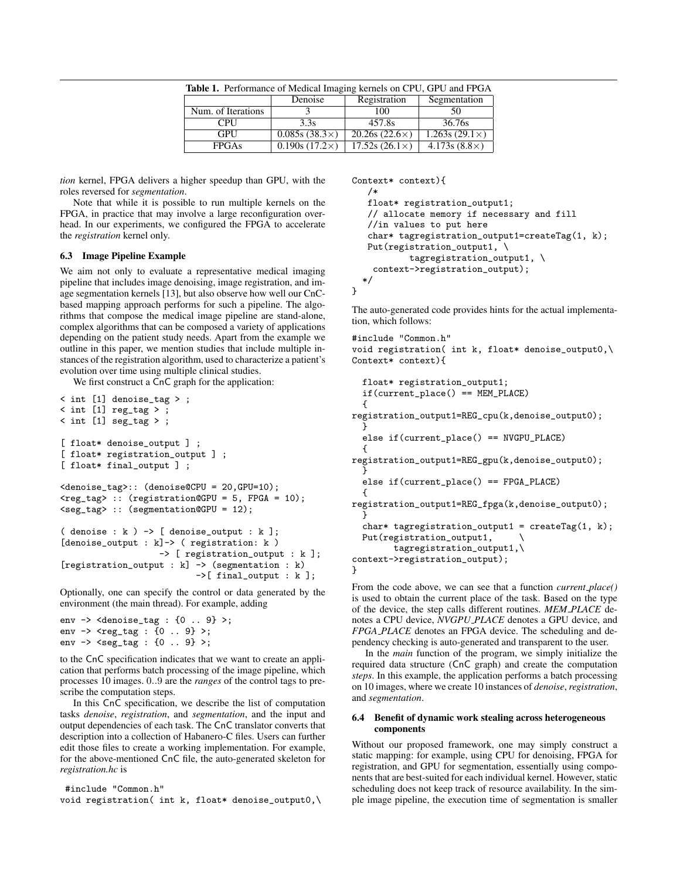| <b>Table 1.</b> Performance of Medical Imaging kernels on CPU, GPU and FPGA |                      |                      |                      |  |
|-----------------------------------------------------------------------------|----------------------|----------------------|----------------------|--|
|                                                                             | Denoise              | Registration         | Segmentation         |  |
| Num. of Iterations                                                          |                      | 100                  | 50                   |  |
| <b>CPU</b>                                                                  | 3.3s                 | 457.8s               | 36.76s               |  |
| <b>GPU</b>                                                                  | $0.085s(38.3\times)$ | $20.26s(22.6\times)$ | $1.263s(29.1\times)$ |  |
| <b>FPGAs</b>                                                                | $0.190s(17.2\times)$ | $17.52s(26.1\times)$ | $4.173s(8.8\times)$  |  |

*tion* kernel, FPGA delivers a higher speedup than GPU, with the roles reversed for *segmentation*.

Note that while it is possible to run multiple kernels on the FPGA, in practice that may involve a large reconfiguration overhead. In our experiments, we configured the FPGA to accelerate the *registration* kernel only.

## 6.3 Image Pipeline Example

We aim not only to evaluate a representative medical imaging pipeline that includes image denoising, image registration, and image segmentation kernels [13], but also observe how well our CnCbased mapping approach performs for such a pipeline. The algorithms that compose the medical image pipeline are stand-alone, complex algorithms that can be composed a variety of applications depending on the patient study needs. Apart from the example we outline in this paper, we mention studies that include multiple instances of the registration algorithm, used to characterize a patient's evolution over time using multiple clinical studies.

We first construct a CnC graph for the application:

```
< int [1] denoise_tag > ;
< int [1] reg_tag > ;
\le int [1] seg_tag >;
[ float* denoise_output ] ;
[ float* registration_output ] ;
[ float* final_output ] ;
<denoise_tag>:: (denoise@CPU = 20,GPU=10);
<reg_tag> :: (registration@GPU = 5, FPGA = 10);
<seg_tag> :: (segmentation@GPU = 12);
( denoise : k ) -> [ denoise_output : k ];
[denoise_output : k]-> ( registration: k )
                   -> [ registration_output : k ];
[registration_output : k] -> (segmentation : k)
                          ->[ final_output : k ];
```
Optionally, one can specify the control or data generated by the environment (the main thread). For example, adding

```
env -> <denoise_tag : {0 .. 9} >;
env \rightarrow <reg_tag : {0 .. 9} >;
env -> <seg_tag : {0 .. 9} >;
```
to the CnC specification indicates that we want to create an application that performs batch processing of the image pipeline, which processes 10 images. 0..9 are the *ranges* of the control tags to prescribe the computation steps.

In this CnC specification, we describe the list of computation tasks *denoise*, *registration*, and *segmentation*, and the input and output dependencies of each task. The CnC translator converts that description into a collection of Habanero-C files. Users can further edit those files to create a working implementation. For example, for the above-mentioned CnC file, the auto-generated skeleton for *registration.hc* is

#include "Common.h" void registration( int k, float\* denoise\_output0,\

```
Context* context){
   /*
   float* registration_output1;
   // allocate memory if necessary and fill
   //in values to put here
   char* tagregistration_output1=createTag(1, k);
   Put(registration_output1, \
           tagregistration_output1, \
    context->registration_output);
  */
}
```
The auto-generated code provides hints for the actual implementation, which follows:

```
#include "Common.h"
void registration( int k, float* denoise_output0,\
Context* context){
```

```
float* registration_output1;
if(current_place() == MEM_PLACE)
{
```
registration\_output1=REG\_cpu(k,denoise\_output0); } else if(current\_place() == NVGPU\_PLACE) { registration\_output1=REG\_gpu(k,denoise\_output0); } else if(current\_place() == FPGA\_PLACE) { registration\_output1=REG\_fpga(k,denoise\_output0);

} char\* tagregistration\_output1 =  $\text{createTag}(1, k)$ ; Put(registration\_output1, \

```
tagregistration_output1,\
context->registration_output);
```

```
}
```
From the code above, we can see that a function *current place()* is used to obtain the current place of the task. Based on the type of the device, the step calls different routines. *MEM PLACE* denotes a CPU device, *NVGPU PLACE* denotes a GPU device, and *FPGA PLACE* denotes an FPGA device. The scheduling and dependency checking is auto-generated and transparent to the user.

In the *main* function of the program, we simply initialize the required data structure (CnC graph) and create the computation *steps*. In this example, the application performs a batch processing on 10 images, where we create 10 instances of *denoise*,*registration*, and *segmentation*.

## 6.4 Benefit of dynamic work stealing across heterogeneous components

Without our proposed framework, one may simply construct a static mapping: for example, using CPU for denoising, FPGA for registration, and GPU for segmentation, essentially using components that are best-suited for each individual kernel. However, static scheduling does not keep track of resource availability. In the simple image pipeline, the execution time of segmentation is smaller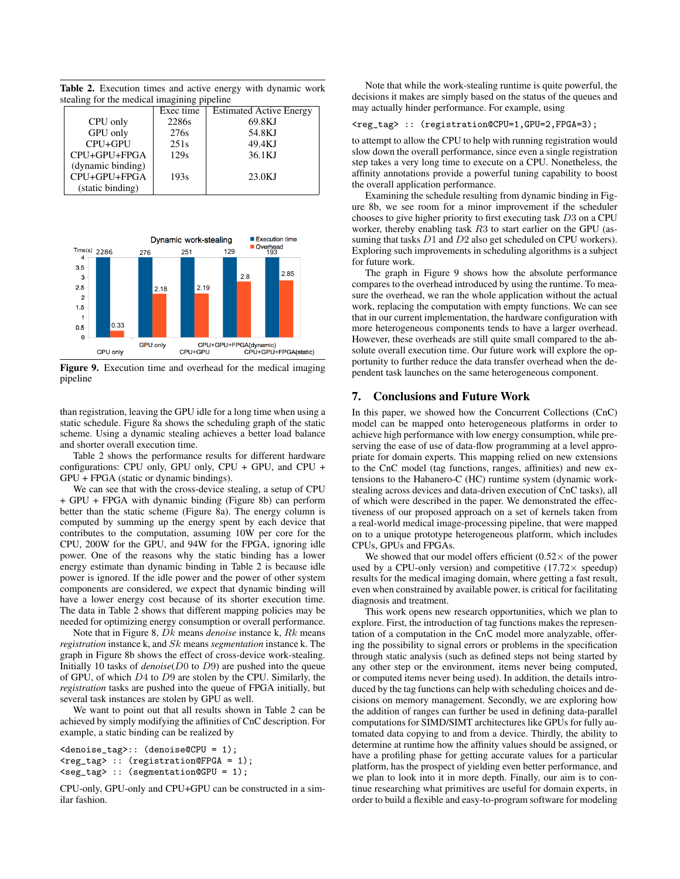Table 2. Execution times and active energy with dynamic work stealing for the medical imagining pipeline

|                                                       | Exec time | <b>Estimated Active Energy</b> |
|-------------------------------------------------------|-----------|--------------------------------|
| CPU only                                              | 2286s     | 69.8KJ                         |
| GPU only                                              | 276s      | 54.8KJ                         |
| CPU+GPU                                               | 251s      | 49.4KJ                         |
| CPU+GPU+FPGA                                          | 129s      | 36.1KJ                         |
| (dynamic binding)<br>CPU+GPU+FPGA<br>(static binding) | 193s      | 23.0KJ                         |



Figure 9. Execution time and overhead for the medical imaging pipeline

than registration, leaving the GPU idle for a long time when using a static schedule. Figure 8a shows the scheduling graph of the static scheme. Using a dynamic stealing achieves a better load balance and shorter overall execution time.

Table 2 shows the performance results for different hardware configurations: CPU only, GPU only, CPU + GPU, and CPU + GPU + FPGA (static or dynamic bindings).

We can see that with the cross-device stealing, a setup of CPU + GPU + FPGA with dynamic binding (Figure 8b) can perform better than the static scheme (Figure 8a). The energy column is computed by summing up the energy spent by each device that contributes to the computation, assuming 10W per core for the CPU, 200W for the GPU, and 94W for the FPGA, ignoring idle power. One of the reasons why the static binding has a lower energy estimate than dynamic binding in Table 2 is because idle power is ignored. If the idle power and the power of other system components are considered, we expect that dynamic binding will have a lower energy cost because of its shorter execution time. The data in Table 2 shows that different mapping policies may be needed for optimizing energy consumption or overall performance.

Note that in Figure 8, Dk means *denoise* instance k, Rk means *registration* instance k, and Sk means *segmentation* instance k. The graph in Figure 8b shows the effect of cross-device work-stealing. Initially 10 tasks of *denoise*(D0 to D9) are pushed into the queue of GPU, of which D4 to D9 are stolen by the CPU. Similarly, the *registration* tasks are pushed into the queue of FPGA initially, but several task instances are stolen by GPU as well.

We want to point out that all results shown in Table 2 can be achieved by simply modifying the affinities of CnC description. For example, a static binding can be realized by

```
<denoise_tag>:: (denoise@CPU = 1);
<reg_tag> :: (registration@FPGA = 1);
<seg_tag> :: (segmentation@GPU = 1);
```
CPU-only, GPU-only and CPU+GPU can be constructed in a similar fashion.

Note that while the work-stealing runtime is quite powerful, the decisions it makes are simply based on the status of the queues and may actually hinder performance. For example, using

<reg\_tag> :: (registration@CPU=1,GPU=2,FPGA=3);

to attempt to allow the CPU to help with running registration would slow down the overall performance, since even a single registration step takes a very long time to execute on a CPU. Nonetheless, the affinity annotations provide a powerful tuning capability to boost the overall application performance.

Examining the schedule resulting from dynamic binding in Figure 8b, we see room for a minor improvement if the scheduler chooses to give higher priority to first executing task D3 on a CPU worker, thereby enabling task R3 to start earlier on the GPU (assuming that tasks D1 and D2 also get scheduled on CPU workers). Exploring such improvements in scheduling algorithms is a subject for future work.

The graph in Figure 9 shows how the absolute performance compares to the overhead introduced by using the runtime. To measure the overhead, we ran the whole application without the actual work, replacing the computation with empty functions. We can see that in our current implementation, the hardware configuration with more heterogeneous components tends to have a larger overhead. However, these overheads are still quite small compared to the absolute overall execution time. Our future work will explore the opportunity to further reduce the data transfer overhead when the dependent task launches on the same heterogeneous component.

## 7. Conclusions and Future Work

In this paper, we showed how the Concurrent Collections (CnC) model can be mapped onto heterogeneous platforms in order to achieve high performance with low energy consumption, while preserving the ease of use of data-flow programming at a level appropriate for domain experts. This mapping relied on new extensions to the CnC model (tag functions, ranges, affinities) and new extensions to the Habanero-C (HC) runtime system (dynamic workstealing across devices and data-driven execution of CnC tasks), all of which were described in the paper. We demonstrated the effectiveness of our proposed approach on a set of kernels taken from a real-world medical image-processing pipeline, that were mapped on to a unique prototype heterogeneous platform, which includes CPUs, GPUs and FPGAs.

We showed that our model offers efficient  $(0.52 \times$  of the power used by a CPU-only version) and competitive  $(17.72 \times speedup)$ results for the medical imaging domain, where getting a fast result, even when constrained by available power, is critical for facilitating diagnosis and treatment.

This work opens new research opportunities, which we plan to explore. First, the introduction of tag functions makes the representation of a computation in the CnC model more analyzable, offering the possibility to signal errors or problems in the specification through static analysis (such as defined steps not being started by any other step or the environment, items never being computed, or computed items never being used). In addition, the details introduced by the tag functions can help with scheduling choices and decisions on memory management. Secondly, we are exploring how the addition of ranges can further be used in defining data-parallel computations for SIMD/SIMT architectures like GPUs for fully automated data copying to and from a device. Thirdly, the ability to determine at runtime how the affinity values should be assigned, or have a profiling phase for getting accurate values for a particular platform, has the prospect of yielding even better performance, and we plan to look into it in more depth. Finally, our aim is to continue researching what primitives are useful for domain experts, in order to build a flexible and easy-to-program software for modeling